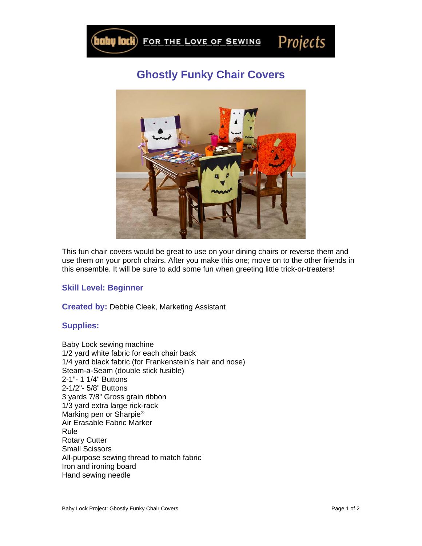

## **Ghostly Funky Chair Covers**



This fun chair covers would be great to use on your dining chairs or reverse them and use them on your porch chairs. After you make this one; move on to the other friends in this ensemble. It will be sure to add some fun when greeting little trick-or-treaters!

## **Skill Level: Beginner**

**Created by:** Debbie Cleek, Marketing Assistant

## **Supplies:**

Baby Lock sewing machine 1/2 yard white fabric for each chair back 1/4 yard black fabric (for Frankenstein's hair and nose) Steam-a-Seam (double stick fusible) 2-1"- 1 1/4" Buttons 2-1/2"- 5/8" Buttons 3 yards 7/8" Gross grain ribbon 1/3 yard extra large rick-rack Marking pen or Sharpie® Air Erasable Fabric Marker Rule Rotary Cutter Small Scissors All-purpose sewing thread to match fabric Iron and ironing board Hand sewing needle